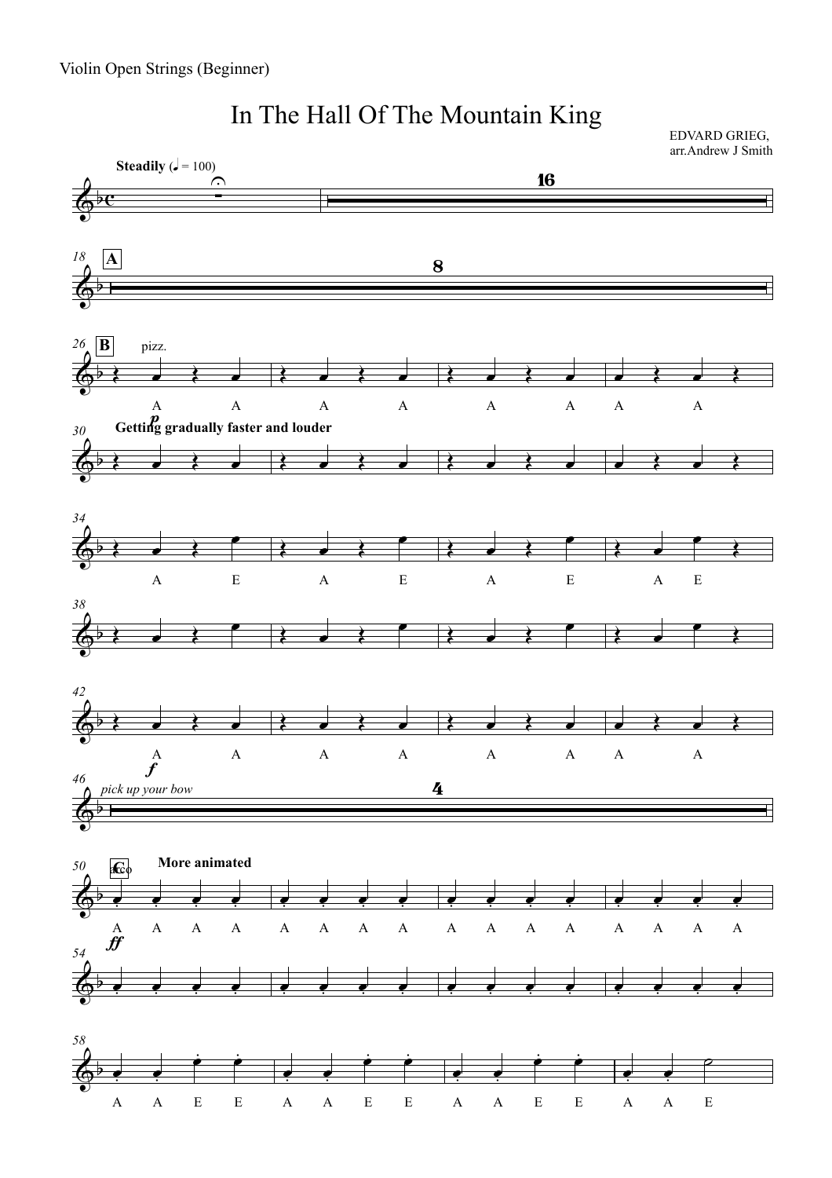

## In The Hall Of The Mountain King

EDVARD GRIEG, arr.Andrew J Smith